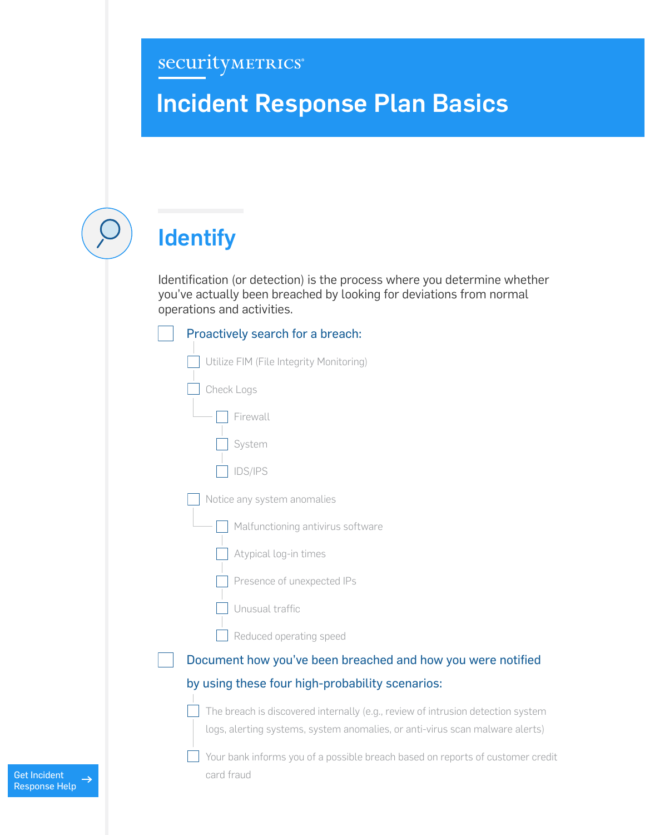### securityMETRICS®

## Incident Response Plan Basics

# **Identify**

Identification (or detection) is the process where you determine whether you've actually been breached by looking for deviations from normal operations and activities.

| Proactively search for a breach:                                                             |  |
|----------------------------------------------------------------------------------------------|--|
| Utilize FIM (File Integrity Monitoring)                                                      |  |
| Check Logs                                                                                   |  |
| Firewall                                                                                     |  |
| System                                                                                       |  |
| IDS/IPS                                                                                      |  |
| Notice any system anomalies                                                                  |  |
| Malfunctioning antivirus software                                                            |  |
| Atypical log-in times                                                                        |  |
| Presence of unexpected IPs                                                                   |  |
| Unusual traffic                                                                              |  |
| Reduced operating speed                                                                      |  |
| Document how you've been breached and how you were notified                                  |  |
| by using these four high-probability scenarios:                                              |  |
| The breach is discovered internally (e.g., review of intrusion detection system              |  |
| logs, alerting systems, system anomalies, or anti-virus scan malware alerts)                 |  |
| Your bank informs you of a possible breach based on reports of customer credit<br>card fraud |  |
|                                                                                              |  |

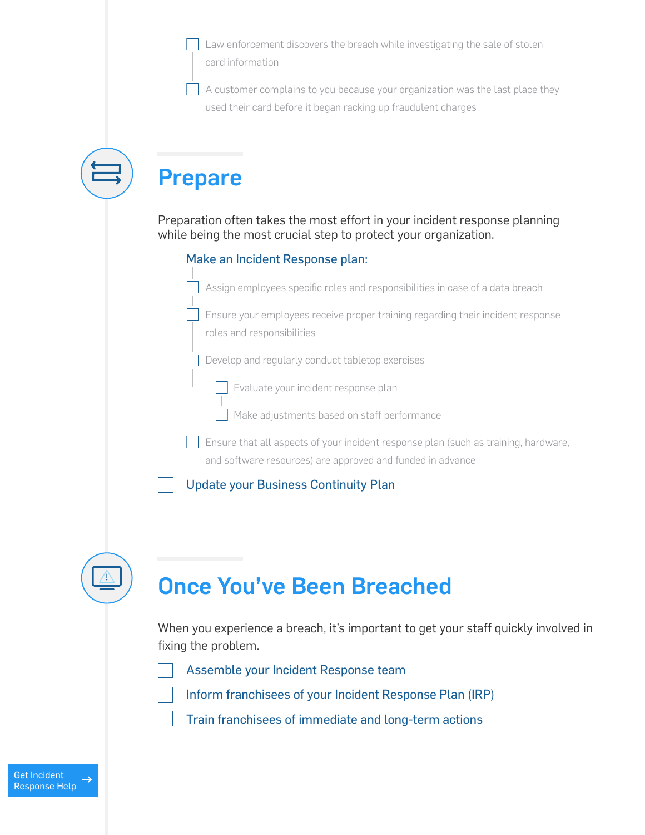Law enforcement discovers the breach while investigating the sale of stolen card information

A customer complains to you because your organization was the last place they used their card before it began racking up fraudulent charges

| <b>Prepare</b>                                                                                                                                    |
|---------------------------------------------------------------------------------------------------------------------------------------------------|
| Preparation often takes the most effort in your incident response planning<br>while being the most crucial step to protect your organization.     |
| Make an Incident Response plan:                                                                                                                   |
| Assign employees specific roles and responsibilities in case of a data breach                                                                     |
| Ensure your employees receive proper training regarding their incident response<br>roles and responsibilities                                     |
| Develop and regularly conduct tabletop exercises                                                                                                  |
| Evaluate your incident response plan                                                                                                              |
| Make adjustments based on staff performance                                                                                                       |
| Ensure that all aspects of your incident response plan (such as training, hardware,<br>and software resources) are approved and funded in advance |
| <b>Update your Business Continuity Plan</b>                                                                                                       |
|                                                                                                                                                   |
| <b>Once You've Been Breached</b>                                                                                                                  |
| When you experience a breach, it's important to get your staff quickly involved in<br>fixing the problem.                                         |

Assemble your Incident Response team

Inform franchisees of your Incident Response Plan (IRP)

Train franchisees of immediate and long-term actions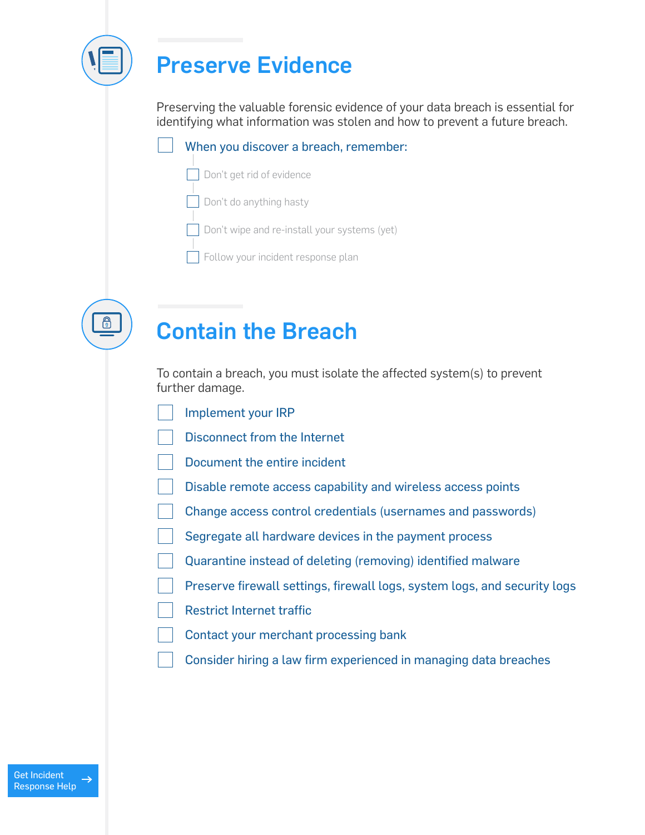

### Preserve Evidence

Preserving the valuable forensic evidence of your data breach is essential for identifying what information was stolen and how to prevent a future breach.

#### When you discover a breach, remember:

- Don't get rid of evidence
- Don't do anything hasty
- Don't wipe and re-install your systems (yet)
- Follow your incident response plan



### Contain the Breach

To contain a breach, you must isolate the affected system(s) to prevent further damage.

- Implement your IRP
- Disconnect from the Internet
- Document the entire incident
- Disable remote access capability and wireless access points
- Change access control credentials (usernames and passwords)
- Segregate all hardware devices in the payment process
- Quarantine instead of deleting (removing) identified malware
- Preserve firewall settings, firewall logs, system logs, and security logs
- Restrict Internet traffic
- Contact your merchant processing bank
- Consider hiring a law firm experienced in managing data breaches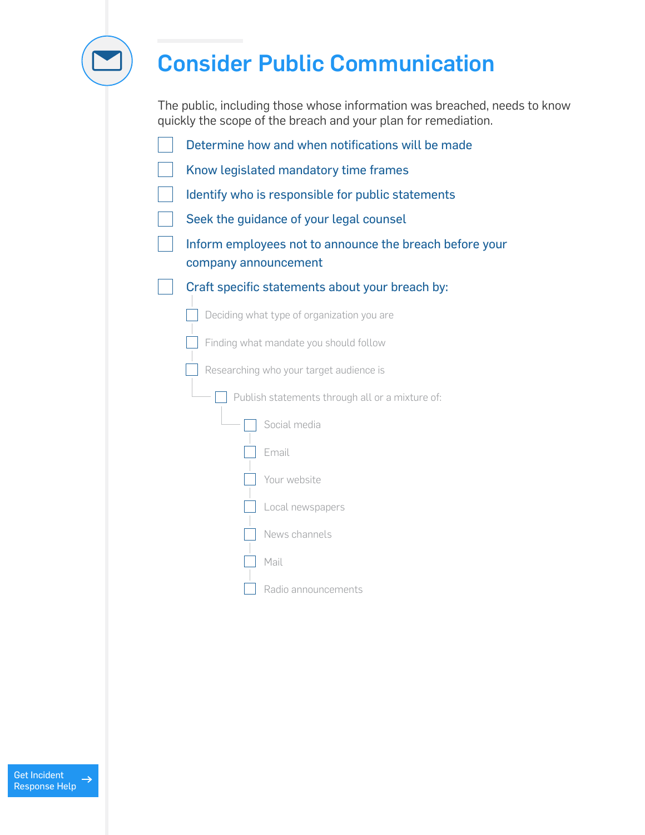

## Consider Public Communication

The public, including those whose information was breached, needs to know quickly the scope of the breach and your plan for remediation.

| Determine how and when notifications will be made                               |  |  |
|---------------------------------------------------------------------------------|--|--|
| Know legislated mandatory time frames                                           |  |  |
| Identify who is responsible for public statements                               |  |  |
| Seek the guidance of your legal counsel                                         |  |  |
| Inform employees not to announce the breach before your<br>company announcement |  |  |
| Craft specific statements about your breach by:                                 |  |  |
| Deciding what type of organization you are                                      |  |  |
| Finding what mandate you should follow                                          |  |  |
| Researching who your target audience is                                         |  |  |
| Publish statements through all or a mixture of:                                 |  |  |
| Social media                                                                    |  |  |
| Email                                                                           |  |  |
| Your website                                                                    |  |  |
| Local newspapers                                                                |  |  |
| News channels                                                                   |  |  |
| Mail                                                                            |  |  |
| Radio announcements                                                             |  |  |

Get Incident  $\rightarrow$ [Response Help](http://www.securitymetrics.com/forensics)